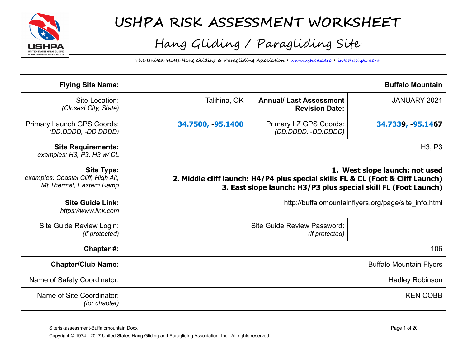

## **USHPA RISK ASSESSMENT WORKSHEET**

# Hang Gliding / Paragliding Site

**The United States Hang Gliding & Paragliding Association** • www.ushpa.aero • info@ushpa.aero

| <b>Flying Site Name:</b>                                                            |                  |                                                                                                                                                    | <b>Buffalo Mountain</b>                              |
|-------------------------------------------------------------------------------------|------------------|----------------------------------------------------------------------------------------------------------------------------------------------------|------------------------------------------------------|
| Site Location:<br>(Closest City, State)                                             | Talihina, OK     | <b>Annual/ Last Assessment</b><br><b>Revision Date:</b>                                                                                            | JANUARY 2021                                         |
| Primary Launch GPS Coords:<br>(DD.DDDD, -DD.DDDD)                                   | 34.7500, 95.1400 | Primary LZ GPS Coords:<br>(DD.DDDD, -DD.DDDD)                                                                                                      | 34.7339 <sub>L</sub> -95.1467                        |
| <b>Site Requirements:</b><br>examples: H3, P3, H3 w/ CL                             |                  |                                                                                                                                                    | H <sub>3</sub> , P <sub>3</sub>                      |
| <b>Site Type:</b><br>examples: Coastal Cliff, High Alt,<br>Mt Thermal, Eastern Ramp |                  | 2. Middle cliff launch: H4/P4 plus special skills FL & CL (Foot & Cliff Launch)<br>3. East slope launch: H3/P3 plus special skill FL (Foot Launch) | 1. West slope launch: not used                       |
| <b>Site Guide Link:</b><br>https://www.link.com                                     |                  |                                                                                                                                                    | http://buffalomountainflyers.org/page/site info.html |
| Site Guide Review Login:<br>(if protected)                                          |                  | Site Guide Review Password:<br>(if protected)                                                                                                      |                                                      |
| Chapter#:                                                                           |                  |                                                                                                                                                    | 106                                                  |
| <b>Chapter/Club Name:</b>                                                           |                  |                                                                                                                                                    | <b>Buffalo Mountain Flyers</b>                       |
| Name of Safety Coordinator:                                                         |                  |                                                                                                                                                    | <b>Hadley Robinson</b>                               |
| Name of Site Coordinator:<br>(for chapter)                                          |                  |                                                                                                                                                    | <b>KEN COBB</b>                                      |

| $\sim$<br>Buffalomour<br>assessment-<br>untain.Docx<br>√it∆rick<br>ulltillanda                                                                                                                         | ຳ∩∩<br>'age<br>∽ |
|--------------------------------------------------------------------------------------------------------------------------------------------------------------------------------------------------------|------------------|
| Glidi<br>$\sim$ 0017 $\sim$<br>1974<br>reserved.<br>iteo<br>Paragl<br>Hang (<br>idina<br>. Inc<br>→ Association.<br>ı and<br>. All rights<br>Copyright $\circledcirc$<br>l States<br>זו<br>ZU I<br>. . |                  |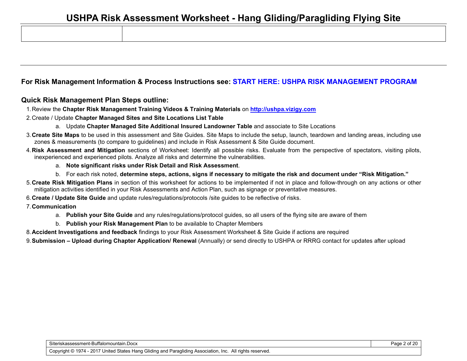#### **For Risk Management Information & Process Instructions see: START HERE: USHPA RISK MANAGEMENT PROGRAM**

#### **Quick Risk Management Plan Steps outline:**

- 1. Review the **Chapter Risk Management Training Videos & Training Materials** on **http://ushpa.vizigy.com**
- 2. Create / Update **Chapter Managed Sites and Site Locations List Table**
	- a. Update **Chapter Managed Site Additional Insured Landowner Table** and associate to Site Locations
- 3. **Create Site Maps** to be used in this assessment and Site Guides. Site Maps to include the setup, launch, teardown and landing areas, including use zones & measurements (to compare to guidelines) and include in Risk Assessment & Site Guide document.
- 4. **Risk Assessment and Mitigation** sections of Worksheet: Identify all possible risks. Evaluate from the perspective of spectators, visiting pilots, inexperienced and experienced pilots. Analyze all risks and determine the vulnerabilities.
	- a. **Note significant risks under Risk Detail and Risk Assessment**.
	- b. For each risk noted, **determine steps, actions, signs if necessary to mitigate the risk and document under "Risk Mitigation."**
- 5. **Create Risk Mitigation Plans** in section of this worksheet for actions to be implemented if not in place and follow-through on any actions or other mitigation activities identified in your Risk Assessments and Action Plan, such as signage or preventative measures.
- 6. **Create / Update Site Guide** and update rules/regulations/protocols /site guides to be reflective of risks.

#### 7. **Communication**

- a. **Publish your Site Guide** and any rules/regulations/protocol guides, so all users of the flying site are aware of them
- b. **Publish your Risk Management Plan** to be available to Chapter Members
- 8. **Accident Investigations and feedback** findings to your Risk Assessment Worksheet & Site Guide if actions are required
- 9. **Submission Upload during Chapter Application/ Renewal** (Annually) or send directly to USHPA or RRRG contact for updates after upload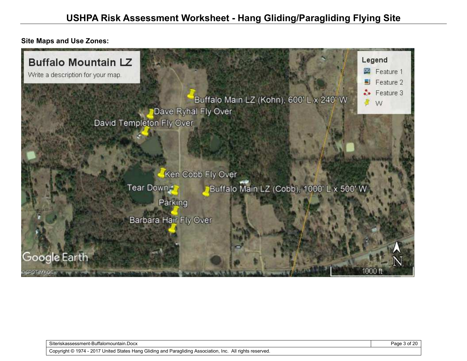**Site Maps and Use Zones:** 



Siteriskassessment-Buffalomountain.Docx **Page 3 of 20** Page 3 of 20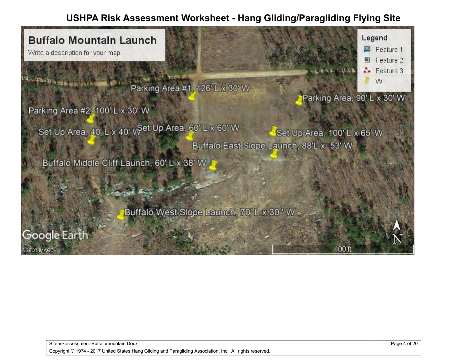

Siteriskassessment-Buffalomountain.Docx **Page 4 of 20** Page 4 of 20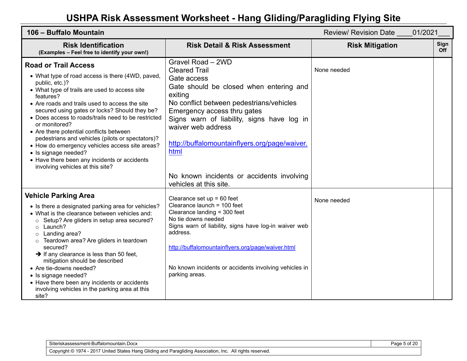| 106 - Buffalo Mountain                                                                                                                                                                                                                                                                                                                                                                                                                                                                                                                                                                                  |                                                                                                                                                                                                                                                                                                                         | 01/2021<br><b>Review/ Revision Date</b> |             |
|---------------------------------------------------------------------------------------------------------------------------------------------------------------------------------------------------------------------------------------------------------------------------------------------------------------------------------------------------------------------------------------------------------------------------------------------------------------------------------------------------------------------------------------------------------------------------------------------------------|-------------------------------------------------------------------------------------------------------------------------------------------------------------------------------------------------------------------------------------------------------------------------------------------------------------------------|-----------------------------------------|-------------|
| <b>Risk Identification</b><br>(Examples - Feel free to identify your own!)                                                                                                                                                                                                                                                                                                                                                                                                                                                                                                                              | <b>Risk Detail &amp; Risk Assessment</b>                                                                                                                                                                                                                                                                                | <b>Risk Mitigation</b>                  | Sign<br>Off |
| <b>Road or Trail Access</b><br>• What type of road access is there (4WD, paved,<br>public, etc.)?<br>• What type of trails are used to access site<br>features?<br>• Are roads and trails used to access the site<br>secured using gates or locks? Should they be?<br>• Does access to roads/trails need to be restricted<br>or monitored?<br>• Are there potential conflicts between<br>pedestrians and vehicles (pilots or spectators)?<br>• How do emergency vehicles access site areas?<br>• Is signage needed?<br>• Have there been any incidents or accidents<br>involving vehicles at this site? | Gravel Road - 2WD<br><b>Cleared Trail</b><br>Gate access<br>Gate should be closed when entering and<br>exiting<br>No conflict between pedestrians/vehicles<br>Emergency access thru gates<br>Signs warn of liability, signs have log in<br>waiver web address<br>http://buffalomountainflyers.org/page/waiver.<br>html  | None needed                             |             |
|                                                                                                                                                                                                                                                                                                                                                                                                                                                                                                                                                                                                         | No known incidents or accidents involving<br>vehicles at this site.                                                                                                                                                                                                                                                     |                                         |             |
| <b>Vehicle Parking Area</b><br>• Is there a designated parking area for vehicles?<br>• What is the clearance between vehicles and:<br>Setup? Are gliders in setup area secured?<br>Launch?<br>$\circ$<br>Landing area?<br>$\circ$<br>Teardown area? Are gliders in teardown<br>secured?<br>$\rightarrow$ If any clearance is less than 50 feet,<br>mitigation should be described<br>• Are tie-downs needed?<br>• Is signage needed?<br>• Have there been any incidents or accidents<br>involving vehicles in the parking area at this<br>site?                                                         | Clearance set $up = 60$ feet<br>Clearance launch = 100 feet<br>Clearance landing = 300 feet<br>No tie downs needed<br>Signs warn of liability, signs have log-in waiver web<br>address.<br>http://buffalomountainflyers.org/page/waiver.html<br>No known incidents or accidents involving vehicles in<br>parking areas. | None needed                             |             |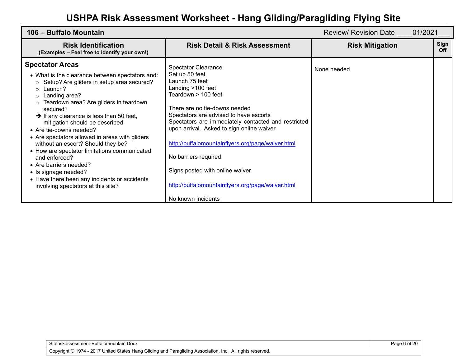| 106 – Buffalo Mountain                                                                                                                                                                                                                                                                                                                                                                                                                                                                                                                                                                                                                               |                                                                                                                                                                                                                                                                                                                                                                                                                                                                                      | 01/2021<br><b>Review/ Revision Date</b> |             |
|------------------------------------------------------------------------------------------------------------------------------------------------------------------------------------------------------------------------------------------------------------------------------------------------------------------------------------------------------------------------------------------------------------------------------------------------------------------------------------------------------------------------------------------------------------------------------------------------------------------------------------------------------|--------------------------------------------------------------------------------------------------------------------------------------------------------------------------------------------------------------------------------------------------------------------------------------------------------------------------------------------------------------------------------------------------------------------------------------------------------------------------------------|-----------------------------------------|-------------|
| <b>Risk Identification</b><br>(Examples – Feel free to identify your own!)                                                                                                                                                                                                                                                                                                                                                                                                                                                                                                                                                                           | <b>Risk Detail &amp; Risk Assessment</b>                                                                                                                                                                                                                                                                                                                                                                                                                                             | <b>Risk Mitigation</b>                  | Sign<br>Off |
| <b>Spectator Areas</b><br>• What is the clearance between spectators and:<br>Setup? Are gliders in setup area secured?<br>$\circ$<br>Launch?<br>$\circ$<br>Landing area?<br>Teardown area? Are gliders in teardown<br>secured?<br>$\rightarrow$ If any clearance is less than 50 feet,<br>mitigation should be described<br>• Are tie-downs needed?<br>• Are spectators allowed in areas with gliders<br>without an escort? Should they be?<br>• How are spectator limitations communicated<br>and enforced?<br>• Are barriers needed?<br>• Is signage needed?<br>• Have there been any incidents or accidents<br>involving spectators at this site? | <b>Spectator Clearance</b><br>Set up 50 feet<br>Launch 75 feet<br>Landing >100 feet<br>Teardown > 100 feet<br>There are no tie-downs needed<br>Spectators are advised to have escorts<br>Spectators are immediately contacted and restricted<br>upon arrival. Asked to sign online waiver<br>http://buffalomountainflyers.org/page/waiver.html<br>No barriers required<br>Signs posted with online waiver<br>http://buffalomountainflyers.org/page/waiver.html<br>No known incidents | None needed                             |             |

Page 6 of 20

Copyright © 1974 - 2017 United States Hang Gliding and Paragliding Association, Inc. All rights reserved.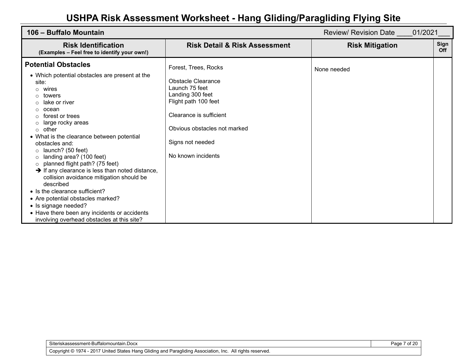| 106 – Buffalo Mountain                                                                                                                                                                                                                                                                                                                                                                                                      |                                                                                                                                                                                         | 01/2021<br><b>Review/ Revision Date</b> |                    |
|-----------------------------------------------------------------------------------------------------------------------------------------------------------------------------------------------------------------------------------------------------------------------------------------------------------------------------------------------------------------------------------------------------------------------------|-----------------------------------------------------------------------------------------------------------------------------------------------------------------------------------------|-----------------------------------------|--------------------|
| <b>Risk Identification</b><br>(Examples - Feel free to identify your own!)                                                                                                                                                                                                                                                                                                                                                  | <b>Risk Detail &amp; Risk Assessment</b>                                                                                                                                                | <b>Risk Mitigation</b>                  | Sign<br><b>Off</b> |
| <b>Potential Obstacles</b><br>• Which potential obstacles are present at the<br>site:<br>wires<br>∩<br>towers<br>lake or river<br>ocean<br>forest or trees<br>large rocky areas<br>other<br>$\circ$<br>• What is the clearance between potential<br>obstacles and:                                                                                                                                                          | Forest, Trees, Rocks<br>Obstacle Clearance<br>Launch 75 feet<br>Landing 300 feet<br>Flight path 100 feet<br>Clearance is sufficient<br>Obvious obstacles not marked<br>Signs not needed | None needed                             |                    |
| launch? (50 feet)<br>$\Omega$<br>landing area? (100 feet)<br>planned flight path? (75 feet)<br>$\circ$<br>$\rightarrow$ If any clearance is less than noted distance,<br>collision avoidance mitigation should be<br>described<br>• Is the clearance sufficient?<br>• Are potential obstacles marked?<br>• Is signage needed?<br>• Have there been any incidents or accidents<br>involving overhead obstacles at this site? | No known incidents                                                                                                                                                                      |                                         |                    |

Page 7 of 20

Copyright © 1974 - 2017 United States Hang Gliding and Paragliding Association, Inc. All rights reserved.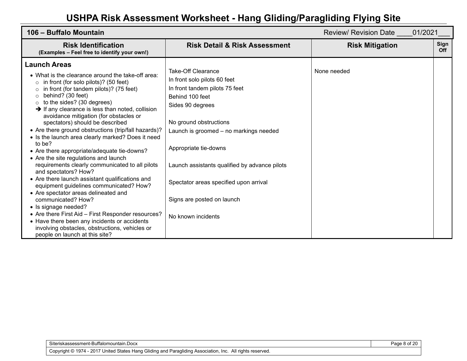| 106 - Buffalo Mountain                                                                                                                                                                                                                                                                                                                                                                                                                                                                                                                                                                                                                                                                                                                                                                                                                                                                                                                                                                                                                           |                                                                                                                                                                                                                                                                                                                                                                         | 01/2021<br>Review/ Revision Date |                    |
|--------------------------------------------------------------------------------------------------------------------------------------------------------------------------------------------------------------------------------------------------------------------------------------------------------------------------------------------------------------------------------------------------------------------------------------------------------------------------------------------------------------------------------------------------------------------------------------------------------------------------------------------------------------------------------------------------------------------------------------------------------------------------------------------------------------------------------------------------------------------------------------------------------------------------------------------------------------------------------------------------------------------------------------------------|-------------------------------------------------------------------------------------------------------------------------------------------------------------------------------------------------------------------------------------------------------------------------------------------------------------------------------------------------------------------------|----------------------------------|--------------------|
| <b>Risk Identification</b><br>(Examples - Feel free to identify your own!)                                                                                                                                                                                                                                                                                                                                                                                                                                                                                                                                                                                                                                                                                                                                                                                                                                                                                                                                                                       | <b>Risk Detail &amp; Risk Assessment</b>                                                                                                                                                                                                                                                                                                                                | <b>Risk Mitigation</b>           | Sign<br><b>Off</b> |
| <b>Launch Areas</b><br>• What is the clearance around the take-off area:<br>in front (for solo pilots)? (50 feet)<br>$\Omega$<br>in front (for tandem pilots)? (75 feet)<br>behind? (30 feet)<br>to the sides? (30 degrees)<br>$\rightarrow$ If any clearance is less than noted, collision<br>avoidance mitigation (for obstacles or<br>spectators) should be described<br>• Are there ground obstructions (trip/fall hazards)?<br>• Is the launch area clearly marked? Does it need<br>to be?<br>• Are there appropriate/adequate tie-downs?<br>• Are the site regulations and launch<br>requirements clearly communicated to all pilots<br>and spectators? How?<br>• Are there launch assistant qualifications and<br>equipment guidelines communicated? How?<br>• Are spectator areas delineated and<br>communicated? How?<br>• Is signage needed?<br>• Are there First Aid - First Responder resources?<br>• Have there been any incidents or accidents<br>involving obstacles, obstructions, vehicles or<br>people on launch at this site? | Take-Off Clearance<br>In front solo pilots 60 feet<br>In front tandem pilots 75 feet<br>Behind 100 feet<br>Sides 90 degrees<br>No ground obstructions<br>Launch is groomed - no markings needed<br>Appropriate tie-downs<br>Launch assistants qualified by advance pilots<br>Spectator areas specified upon arrival<br>Signs are posted on launch<br>No known incidents | None needed                      |                    |

Page 8 of 20

Copyright © 1974 - 2017 United States Hang Gliding and Paragliding Association, Inc. All rights reserved.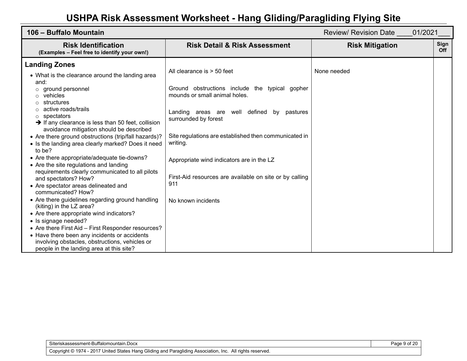| 106 - Buffalo Mountain                                                                                                                                     |                                                                                 | 01/2021<br><b>Review/ Revision Date</b> |                    |
|------------------------------------------------------------------------------------------------------------------------------------------------------------|---------------------------------------------------------------------------------|-----------------------------------------|--------------------|
| <b>Risk Identification</b><br>(Examples - Feel free to identify your own!)                                                                                 | <b>Risk Detail &amp; Risk Assessment</b>                                        | <b>Risk Mitigation</b>                  | Sign<br><b>Off</b> |
| <b>Landing Zones</b>                                                                                                                                       |                                                                                 |                                         |                    |
| • What is the clearance around the landing area<br>and:                                                                                                    | All clearance is $>$ 50 feet                                                    | None needed                             |                    |
| ground personnel<br>vehicles<br>$\circ$<br>structures                                                                                                      | Ground obstructions include the typical gopher<br>mounds or small animal holes. |                                         |                    |
| active roads/trails<br>spectators<br>$\circ$<br>$\rightarrow$ If any clearance is less than 50 feet, collision<br>avoidance mitigation should be described | Landing areas are well defined<br>by pastures<br>surrounded by forest           |                                         |                    |
| • Are there ground obstructions (trip/fall hazards)?<br>• Is the landing area clearly marked? Does it need<br>to be?                                       | Site regulations are established then communicated in<br>writing.               |                                         |                    |
| • Are there appropriate/adequate tie-downs?<br>• Are the site regulations and landing                                                                      | Appropriate wind indicators are in the LZ                                       |                                         |                    |
| requirements clearly communicated to all pilots<br>and spectators? How?<br>• Are spectator areas delineated and<br>communicated? How?                      | First-Aid resources are available on site or by calling<br>911                  |                                         |                    |
| • Are there guidelines regarding ground handling<br>(kiting) in the LZ area?                                                                               | No known incidents                                                              |                                         |                    |
| • Are there appropriate wind indicators?<br>• Is signage needed?                                                                                           |                                                                                 |                                         |                    |
| • Are there First Aid – First Responder resources?                                                                                                         |                                                                                 |                                         |                    |
| • Have there been any incidents or accidents                                                                                                               |                                                                                 |                                         |                    |
| involving obstacles, obstructions, vehicles or<br>people in the landing area at this site?                                                                 |                                                                                 |                                         |                    |

Page 9 of 20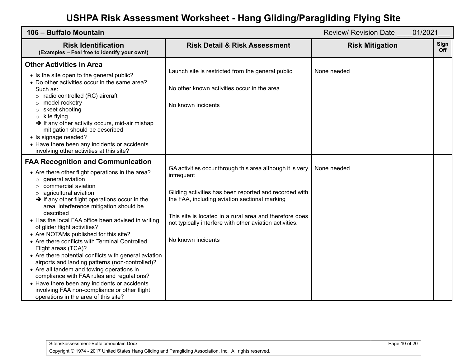| 106 - Buffalo Mountain                                                                                                                                                                                                                                                                                                                                                                                                                                                                                                                                                                                                                                                                                                                                                                                                                                       |                                                                                                                                                                                                                                                                                                                                | <b>Review/ Revision Date</b><br>01/2021 |             |
|--------------------------------------------------------------------------------------------------------------------------------------------------------------------------------------------------------------------------------------------------------------------------------------------------------------------------------------------------------------------------------------------------------------------------------------------------------------------------------------------------------------------------------------------------------------------------------------------------------------------------------------------------------------------------------------------------------------------------------------------------------------------------------------------------------------------------------------------------------------|--------------------------------------------------------------------------------------------------------------------------------------------------------------------------------------------------------------------------------------------------------------------------------------------------------------------------------|-----------------------------------------|-------------|
| <b>Risk Identification</b><br>(Examples - Feel free to identify your own!)                                                                                                                                                                                                                                                                                                                                                                                                                                                                                                                                                                                                                                                                                                                                                                                   | <b>Risk Detail &amp; Risk Assessment</b>                                                                                                                                                                                                                                                                                       | <b>Risk Mitigation</b>                  | Sign<br>Off |
| <b>Other Activities in Area</b><br>• Is the site open to the general public?<br>• Do other activities occur in the same area?<br>Such as:<br>$\circ$ radio controlled (RC) aircraft<br>model rocketry<br>O<br>skeet shooting<br>O<br>kite flying<br>$\circ$<br>$\rightarrow$ If any other activity occurs, mid-air mishap<br>mitigation should be described<br>• Is signage needed?<br>• Have there been any incidents or accidents<br>involving other activities at this site?                                                                                                                                                                                                                                                                                                                                                                              | Launch site is restricted from the general public<br>No other known activities occur in the area<br>No known incidents                                                                                                                                                                                                         | None needed                             |             |
| <b>FAA Recognition and Communication</b><br>• Are there other flight operations in the area?<br>$\circ$ general aviation<br>$\circ$ commercial aviation<br>agricultural aviation<br>$\rightarrow$ If any other flight operations occur in the<br>area, interference mitigation should be<br>described<br>• Has the local FAA office been advised in writing<br>of glider flight activities?<br>• Are NOTAMs published for this site?<br>• Are there conflicts with Terminal Controlled<br>Flight areas (TCA)?<br>• Are there potential conflicts with general aviation<br>airports and landing patterns (non-controlled)?<br>• Are all tandem and towing operations in<br>compliance with FAA rules and regulations?<br>• Have there been any incidents or accidents<br>involving FAA non-compliance or other flight<br>operations in the area of this site? | GA activities occur through this area although it is very<br>infrequent<br>Gliding activities has been reported and recorded with<br>the FAA, including aviation sectional marking<br>This site is located in a rural area and therefore does<br>not typically interfere with other aviation activities.<br>No known incidents | None needed                             |             |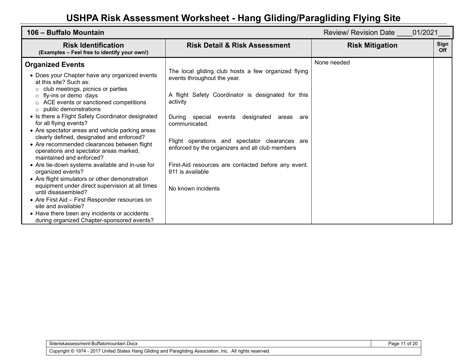| 106 – Buffalo Mountain                                                                                                                                                                                                                                                                                                                                                                                                                                                                                                         |                                                                                                                                                                                                                                                                                                                                | Review/ Revision Date 01/2021 |                    |
|--------------------------------------------------------------------------------------------------------------------------------------------------------------------------------------------------------------------------------------------------------------------------------------------------------------------------------------------------------------------------------------------------------------------------------------------------------------------------------------------------------------------------------|--------------------------------------------------------------------------------------------------------------------------------------------------------------------------------------------------------------------------------------------------------------------------------------------------------------------------------|-------------------------------|--------------------|
| <b>Risk Identification</b><br>(Examples - Feel free to identify your own!)                                                                                                                                                                                                                                                                                                                                                                                                                                                     | <b>Risk Detail &amp; Risk Assessment</b>                                                                                                                                                                                                                                                                                       | <b>Risk Mitigation</b>        | Sign<br><b>Off</b> |
| <b>Organized Events</b><br>• Does your Chapter have any organized events<br>at this site? Such as:<br>club meetings, picnics or parties<br>$\circ$ fly-ins or demo days<br>o ACE events or sanctioned competitions<br>public demonstrations<br>$\circ$<br>• Is there a Flight Safety Coordinator designated<br>for all flying events?<br>• Are spectator areas and vehicle parking areas<br>clearly defined, designated and enforced?<br>• Are recommended clearances between flight<br>operations and spectator areas marked, | The local gliding club hosts a few organized flying<br>events throughout the year.<br>A flight Safety Coordinator is designated for this<br>activity<br>During special events<br>designated<br>areas are<br>communicated.<br>Flight operations and spectator clearances are<br>enforced by the organizers and all club members | None needed                   |                    |
| maintained and enforced?<br>• Are tie-down systems available and in-use for<br>organized events?<br>• Are flight simulators or other demonstration<br>equipment under direct supervision at all times<br>until disassembled?<br>• Are First Aid – First Responder resources on<br>site and available?<br>• Have there been any incidents or accidents<br>during organized Chapter-sponsored events?                                                                                                                            | First-Aid resources are contacted before any event.<br>911 is available<br>No known incidents                                                                                                                                                                                                                                  |                               |                    |

Page 11 of 20

Copyright © 1974 - 2017 United States Hang Gliding and Paragliding Association, Inc. All rights reserved.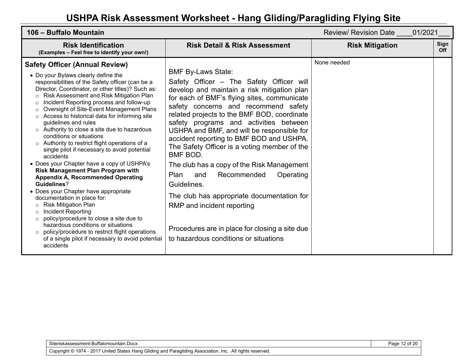| 106 - Buffalo Mountain                                                                                                                                                                                                                                                                                                                                                                                                                                                                                                                                                                                                                                                                                                                                                                                                                                                                                                                                                                                                                                                                                                                                                              |                                                                                                                                                                                                                                                                                                                                                                                                                                                                                                                                                                                                                                                                                                                                           | 01/2021<br>Review/ Revision Date |             |
|-------------------------------------------------------------------------------------------------------------------------------------------------------------------------------------------------------------------------------------------------------------------------------------------------------------------------------------------------------------------------------------------------------------------------------------------------------------------------------------------------------------------------------------------------------------------------------------------------------------------------------------------------------------------------------------------------------------------------------------------------------------------------------------------------------------------------------------------------------------------------------------------------------------------------------------------------------------------------------------------------------------------------------------------------------------------------------------------------------------------------------------------------------------------------------------|-------------------------------------------------------------------------------------------------------------------------------------------------------------------------------------------------------------------------------------------------------------------------------------------------------------------------------------------------------------------------------------------------------------------------------------------------------------------------------------------------------------------------------------------------------------------------------------------------------------------------------------------------------------------------------------------------------------------------------------------|----------------------------------|-------------|
| <b>Risk Identification</b><br>(Examples - Feel free to identify your own!)                                                                                                                                                                                                                                                                                                                                                                                                                                                                                                                                                                                                                                                                                                                                                                                                                                                                                                                                                                                                                                                                                                          | <b>Risk Detail &amp; Risk Assessment</b>                                                                                                                                                                                                                                                                                                                                                                                                                                                                                                                                                                                                                                                                                                  | <b>Risk Mitigation</b>           | Sign<br>Off |
| <b>Safety Officer (Annual Review)</b><br>• Do your Bylaws clearly define the<br>responsibilities of the Safety officer (can be a<br>Director, Coordinator, or other titles)? Such as:<br>Risk Assessment and Risk Mitigation Plan<br>$\circ$<br>Incident Reporting process and follow-up<br>$\circ$<br>Oversight of Site-Event Management Plans<br>$\circ$<br>Access to historical data for informing site<br>$\circ$<br>guidelines and rules<br>$\circ$ Authority to close a site due to hazardous<br>conditions or situations<br>Authority to restrict flight operations of a<br>$\circ$<br>single pilot if necessary to avoid potential<br>accidents<br>• Does your Chapter have a copy of USHPA's<br><b>Risk Management Plan Program with</b><br><b>Appendix A, Recommended Operating</b><br>Guidelines?<br>• Does your Chapter have appropriate<br>documentation in place for:<br><b>Risk Mitigation Plan</b><br>O<br>Incident Reporting<br>$\circ$<br>policy/procedure to close a site due to<br>$\circ$<br>hazardous conditions or situations<br>policy/procedure to restrict flight operations<br>$\circ$<br>of a single pilot if necessary to avoid potential<br>accidents | <b>BMF By-Laws State:</b><br>Safety Officer – The Safety Officer will<br>develop and maintain a risk mitigation plan<br>for each of BMF's flying sites, communicate<br>safety concerns and recommend safety<br>related projects to the BMF BOD, coordinate<br>safety programs and activities between<br>USHPA and BMF, and will be responsible for<br>accident reporting to BMF BOD and USHPA.<br>The Safety Officer is a voting member of the<br>BMF BOD.<br>The club has a copy of the Risk Management<br>Plan<br>Recommended<br>Operating<br>and<br>Guidelines.<br>The club has appropriate documentation for<br>RMP and incident reporting<br>Procedures are in place for closing a site due<br>to hazardous conditions or situations | None needed                      |             |

Page 12 of 20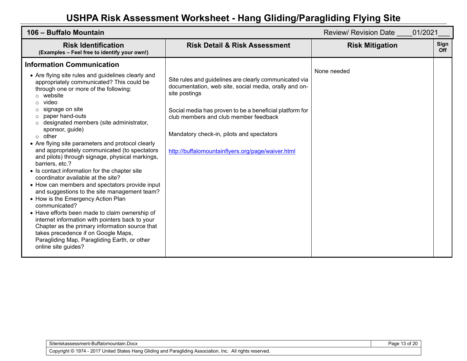| 106 - Buffalo Mountain                                                                                                                                                                                                                                                                                                                                                                                                                                                                                                                                                                                                                                                                                                                                                                                                                                                                                                                                                                        |                                                                                                                                                                                                                                                                                                                                        | 01/2021<br><b>Review/ Revision Date</b> |             |
|-----------------------------------------------------------------------------------------------------------------------------------------------------------------------------------------------------------------------------------------------------------------------------------------------------------------------------------------------------------------------------------------------------------------------------------------------------------------------------------------------------------------------------------------------------------------------------------------------------------------------------------------------------------------------------------------------------------------------------------------------------------------------------------------------------------------------------------------------------------------------------------------------------------------------------------------------------------------------------------------------|----------------------------------------------------------------------------------------------------------------------------------------------------------------------------------------------------------------------------------------------------------------------------------------------------------------------------------------|-----------------------------------------|-------------|
| <b>Risk Identification</b><br>(Examples - Feel free to identify your own!)                                                                                                                                                                                                                                                                                                                                                                                                                                                                                                                                                                                                                                                                                                                                                                                                                                                                                                                    | <b>Risk Detail &amp; Risk Assessment</b>                                                                                                                                                                                                                                                                                               | <b>Risk Mitigation</b>                  | Sign<br>Off |
| <b>Information Communication</b>                                                                                                                                                                                                                                                                                                                                                                                                                                                                                                                                                                                                                                                                                                                                                                                                                                                                                                                                                              |                                                                                                                                                                                                                                                                                                                                        |                                         |             |
| • Are flying site rules and guidelines clearly and<br>appropriately communicated? This could be<br>through one or more of the following:<br>website<br>video<br>signage on site<br>paper hand-outs<br>$\circ$<br>designated members (site administrator,<br>sponsor, guide)<br>$\circ$ other<br>• Are flying site parameters and protocol clearly<br>and appropriately communicated (to spectators<br>and pilots) through signage, physical markings,<br>barriers, etc.?<br>• Is contact information for the chapter site<br>coordinator available at the site?<br>• How can members and spectators provide input<br>and suggestions to the site management team?<br>• How is the Emergency Action Plan<br>communicated?<br>• Have efforts been made to claim ownership of<br>internet information with pointers back to your<br>Chapter as the primary information source that<br>takes precedence if on Google Maps,<br>Paragliding Map, Paragliding Earth, or other<br>online site guides? | Site rules and guidelines are clearly communicated via<br>documentation, web site, social media, orally and on-<br>site postings<br>Social media has proven to be a beneficial platform for<br>club members and club member feedback<br>Mandatory check-in, pilots and spectators<br>http://buffalomountainflyers.org/page/waiver.html | None needed                             |             |

Page 13 of 20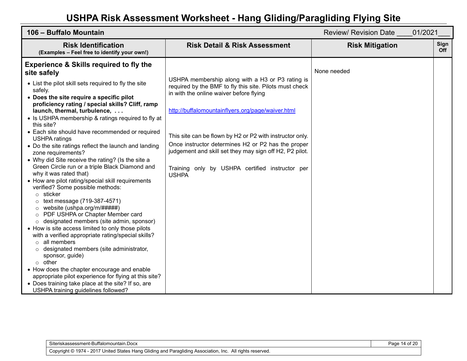| 106 - Buffalo Mountain                                                                                                                                                                                                                                                                                                                                                                                                                                                                                                                                                                                                                                                                                                                                                                                                                                                                                                                                                                                                                                                                                                                                                                                                                                                                                                                                         |                                                                                                                                                                                                                                                                                                                                                                                                                                                             | <b>Review/ Revision Date</b><br>01/2021 |             |
|----------------------------------------------------------------------------------------------------------------------------------------------------------------------------------------------------------------------------------------------------------------------------------------------------------------------------------------------------------------------------------------------------------------------------------------------------------------------------------------------------------------------------------------------------------------------------------------------------------------------------------------------------------------------------------------------------------------------------------------------------------------------------------------------------------------------------------------------------------------------------------------------------------------------------------------------------------------------------------------------------------------------------------------------------------------------------------------------------------------------------------------------------------------------------------------------------------------------------------------------------------------------------------------------------------------------------------------------------------------|-------------------------------------------------------------------------------------------------------------------------------------------------------------------------------------------------------------------------------------------------------------------------------------------------------------------------------------------------------------------------------------------------------------------------------------------------------------|-----------------------------------------|-------------|
| <b>Risk Identification</b><br>(Examples - Feel free to identify your own!)                                                                                                                                                                                                                                                                                                                                                                                                                                                                                                                                                                                                                                                                                                                                                                                                                                                                                                                                                                                                                                                                                                                                                                                                                                                                                     | <b>Risk Detail &amp; Risk Assessment</b>                                                                                                                                                                                                                                                                                                                                                                                                                    | <b>Risk Mitigation</b>                  | Sign<br>Off |
| <b>Experience &amp; Skills required to fly the</b><br>site safely<br>• List the pilot skill sets required to fly the site<br>safely.<br>• Does the site require a specific pilot<br>proficiency rating / special skills? Cliff, ramp<br>launch, thermal, turbulence,<br>• Is USHPA membership & ratings required to fly at<br>this site?<br>• Each site should have recommended or required<br><b>USHPA</b> ratings<br>• Do the site ratings reflect the launch and landing<br>zone requirements?<br>• Why did Site receive the rating? (Is the site a<br>Green Circle run or a triple Black Diamond and<br>why it was rated that)<br>• How are pilot rating/special skill requirements<br>verified? Some possible methods:<br>$\circ$ sticker<br>text message (719-387-4571)<br>website (ushpa.org/m/#####)<br>$\circ$<br>PDF USHPA or Chapter Member card<br>$\circ$<br>designated members (site admin, sponsor)<br>$\circ$<br>• How is site access limited to only those pilots<br>with a verified appropriate rating/special skills?<br>$\circ$ all members<br>designated members (site administrator,<br>$\circ$<br>sponsor, guide)<br>$\circ$ other<br>• How does the chapter encourage and enable<br>appropriate pilot experience for flying at this site?<br>• Does training take place at the site? If so, are<br>USHPA training guidelines followed? | USHPA membership along with a H3 or P3 rating is<br>required by the BMF to fly this site. Pilots must check<br>in with the online waiver before flying<br>http://buffalomountainflyers.org/page/waiver.html<br>This site can be flown by H2 or P2 with instructor only.<br>Once instructor determines H2 or P2 has the proper<br>judgement and skill set they may sign off H2, P2 pilot.<br>Training only by USHPA certified instructor per<br><b>USHPA</b> | None needed                             |             |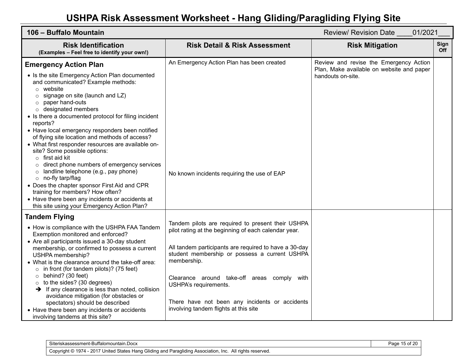| 106 - Buffalo Mountain                                                                                                                                                                                                                                                                                                                                                                                                                                                                                                                                                                                                                                                                                                                                                                                                   | <b>Review/ Revision Date</b><br>01/2021                                                                               |                                                                                     |             |
|--------------------------------------------------------------------------------------------------------------------------------------------------------------------------------------------------------------------------------------------------------------------------------------------------------------------------------------------------------------------------------------------------------------------------------------------------------------------------------------------------------------------------------------------------------------------------------------------------------------------------------------------------------------------------------------------------------------------------------------------------------------------------------------------------------------------------|-----------------------------------------------------------------------------------------------------------------------|-------------------------------------------------------------------------------------|-------------|
| <b>Risk Identification</b><br>(Examples - Feel free to identify your own!)                                                                                                                                                                                                                                                                                                                                                                                                                                                                                                                                                                                                                                                                                                                                               | <b>Risk Detail &amp; Risk Assessment</b>                                                                              | <b>Risk Mitigation</b>                                                              | Sign<br>Off |
| <b>Emergency Action Plan</b>                                                                                                                                                                                                                                                                                                                                                                                                                                                                                                                                                                                                                                                                                                                                                                                             | An Emergency Action Plan has been created                                                                             | Review and revise the Emergency Action<br>Plan, Make available on website and paper |             |
| • Is the site Emergency Action Plan documented<br>and communicated? Example methods:<br>$\circ$ website<br>$\circ$ signage on site (launch and LZ)<br>paper hand-outs<br>$\circ$<br>o designated members<br>• Is there a documented protocol for filing incident<br>reports?<br>• Have local emergency responders been notified<br>of flying site location and methods of access?<br>• What first responder resources are available on-<br>site? Some possible options:<br>$\circ$ first aid kit<br>direct phone numbers of emergency services<br>$\circ$<br>landline telephone (e.g., pay phone)<br>$\circ$<br>o no-fly tarp/flag<br>• Does the chapter sponsor First Aid and CPR<br>training for members? How often?<br>• Have there been any incidents or accidents at<br>this site using your Emergency Action Plan? | No known incidents requiring the use of EAP                                                                           | handouts on-site.                                                                   |             |
| <b>Tandem Flying</b><br>• How is compliance with the USHPA FAA Tandem<br>Exemption monitored and enforced?                                                                                                                                                                                                                                                                                                                                                                                                                                                                                                                                                                                                                                                                                                               | Tandem pilots are required to present their USHPA<br>pilot rating at the beginning of each calendar year.             |                                                                                     |             |
| • Are all participants issued a 30-day student<br>membership, or confirmed to possess a current<br>USHPA membership?<br>• What is the clearance around the take-off area:<br>$\circ$ in front (for tandem pilots)? (75 feet)                                                                                                                                                                                                                                                                                                                                                                                                                                                                                                                                                                                             | All tandem participants are required to have a 30-day<br>student membership or possess a current USHPA<br>membership. |                                                                                     |             |
| $\circ$ behind? (30 feet)<br>to the sides? (30 degrees)<br>$\circ$<br>$\rightarrow$ If any clearance is less than noted, collision<br>avoidance mitigation (for obstacles or                                                                                                                                                                                                                                                                                                                                                                                                                                                                                                                                                                                                                                             | Clearance around take-off areas comply with<br>USHPA's requirements.                                                  |                                                                                     |             |
| spectators) should be described<br>• Have there been any incidents or accidents<br>involving tandems at this site?                                                                                                                                                                                                                                                                                                                                                                                                                                                                                                                                                                                                                                                                                                       | There have not been any incidents or accidents<br>involving tandem flights at this site                               |                                                                                     |             |

| Siteriskassessment-Buffalomountain.Docx                                                                   | 15 of 20<br>Page |
|-----------------------------------------------------------------------------------------------------------|------------------|
| Copyright © 1974 - 2017 United States Hang Gliding and Paragliding Association, Inc. All rights reserved. |                  |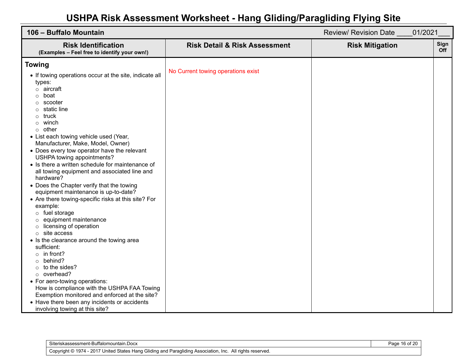| 106 - Buffalo Mountain                                                                                                                                                                                                                                                                                                                                                                                                                                                                                                                                                                                                                                                                                                                                                                                                                                                                                                                                                                                                                                                                                                                                       | Review/ Revision Date  | 01/2021            |
|--------------------------------------------------------------------------------------------------------------------------------------------------------------------------------------------------------------------------------------------------------------------------------------------------------------------------------------------------------------------------------------------------------------------------------------------------------------------------------------------------------------------------------------------------------------------------------------------------------------------------------------------------------------------------------------------------------------------------------------------------------------------------------------------------------------------------------------------------------------------------------------------------------------------------------------------------------------------------------------------------------------------------------------------------------------------------------------------------------------------------------------------------------------|------------------------|--------------------|
| <b>Risk Identification</b><br><b>Risk Detail &amp; Risk Assessment</b><br>(Examples - Feel free to identify your own!)                                                                                                                                                                                                                                                                                                                                                                                                                                                                                                                                                                                                                                                                                                                                                                                                                                                                                                                                                                                                                                       | <b>Risk Mitigation</b> | Sign<br><b>Off</b> |
| <b>Towing</b><br>No Current towing operations exist<br>• If towing operations occur at the site, indicate all<br>types:<br>$\circ$ aircraft<br>boat<br>O<br>scooter<br>O<br>static line<br>truck<br>winch<br>O<br>other<br>$\circ$<br>• List each towing vehicle used (Year,<br>Manufacturer, Make, Model, Owner)<br>• Does every tow operator have the relevant<br>USHPA towing appointments?<br>• Is there a written schedule for maintenance of<br>all towing equipment and associated line and<br>hardware?<br>• Does the Chapter verify that the towing<br>equipment maintenance is up-to-date?<br>• Are there towing-specific risks at this site? For<br>example:<br>$\circ$ fuel storage<br>equipment maintenance<br>licensing of operation<br>$\circ$<br>site access<br>$\circ$<br>• Is the clearance around the towing area<br>sufficient:<br>$\circ$ in front?<br>behind?<br>$\circ$<br>to the sides?<br>$\circ$<br>o overhead?<br>• For aero-towing operations:<br>How is compliance with the USHPA FAA Towing<br>Exemption monitored and enforced at the site?<br>• Have there been any incidents or accidents<br>involving towing at this site? |                        |                    |

| Siteriskassessment-Buffalomountain.Docx                                                                   | Page 16 of 20 |
|-----------------------------------------------------------------------------------------------------------|---------------|
| Copyright © 1974 - 2017 United States Hang Gliding and Paragliding Association, Inc. All rights reserved. |               |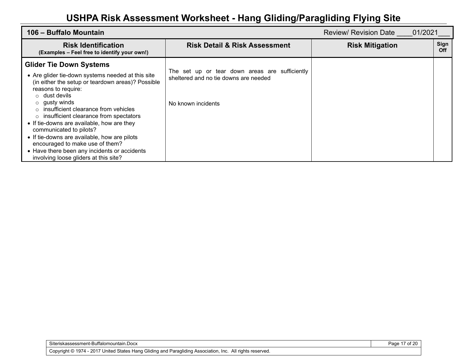| 106 – Buffalo Mountain                                                                                                                                                                                                                                                                                                                                                                                                                                                                                                                                                       |                                                                                                               | 01/2021<br>Review/ Revision Date |             |
|------------------------------------------------------------------------------------------------------------------------------------------------------------------------------------------------------------------------------------------------------------------------------------------------------------------------------------------------------------------------------------------------------------------------------------------------------------------------------------------------------------------------------------------------------------------------------|---------------------------------------------------------------------------------------------------------------|----------------------------------|-------------|
| <b>Risk Identification</b><br>(Examples - Feel free to identify your own!)                                                                                                                                                                                                                                                                                                                                                                                                                                                                                                   | <b>Risk Detail &amp; Risk Assessment</b>                                                                      | <b>Risk Mitigation</b>           | Sign<br>Off |
| <b>Glider Tie Down Systems</b><br>• Are glider tie-down systems needed at this site<br>(in either the setup or teardown areas)? Possible<br>reasons to require:<br>$\circ$ dust devils<br>gusty winds<br>$\circ$<br>insufficient clearance from vehicles<br>$\cap$<br>insufficient clearance from spectators<br>$\circ$<br>• If tie-downs are available, how are they<br>communicated to pilots?<br>• If tie-downs are available, how are pilots<br>encouraged to make use of them?<br>• Have there been any incidents or accidents<br>involving loose gliders at this site? | The set up or tear down areas are sufficiently<br>sheltered and no tie downs are needed<br>No known incidents |                                  |             |

Page 17 of 20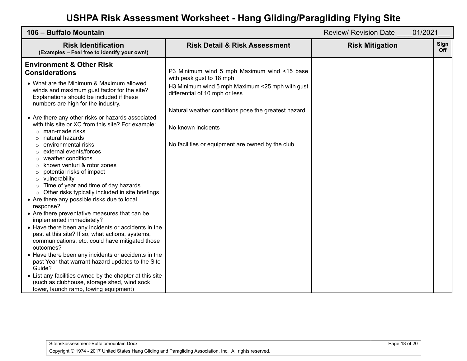| 106 - Buffalo Mountain                                                                                                                                                                                                                                                                                                                                                                                                                                                                                                                                                                                                                                                                                                                                                                                                                                                                                                                                                                                                                                                                                                                                                                                                                                                                   |                                                                                                                                                                                                                                                                                               | <b>Review/ Revision Date</b><br>01/2021 |             |
|------------------------------------------------------------------------------------------------------------------------------------------------------------------------------------------------------------------------------------------------------------------------------------------------------------------------------------------------------------------------------------------------------------------------------------------------------------------------------------------------------------------------------------------------------------------------------------------------------------------------------------------------------------------------------------------------------------------------------------------------------------------------------------------------------------------------------------------------------------------------------------------------------------------------------------------------------------------------------------------------------------------------------------------------------------------------------------------------------------------------------------------------------------------------------------------------------------------------------------------------------------------------------------------|-----------------------------------------------------------------------------------------------------------------------------------------------------------------------------------------------------------------------------------------------------------------------------------------------|-----------------------------------------|-------------|
| <b>Risk Identification</b><br>(Examples - Feel free to identify your own!)                                                                                                                                                                                                                                                                                                                                                                                                                                                                                                                                                                                                                                                                                                                                                                                                                                                                                                                                                                                                                                                                                                                                                                                                               | <b>Risk Detail &amp; Risk Assessment</b>                                                                                                                                                                                                                                                      | <b>Risk Mitigation</b>                  | Sign<br>Off |
| <b>Environment &amp; Other Risk</b><br><b>Considerations</b><br>• What are the Minimum & Maximum allowed<br>winds and maximum gust factor for the site?<br>Explanations should be included if these<br>numbers are high for the industry.<br>• Are there any other risks or hazards associated<br>with this site or XC from this site? For example:<br>$\circ$ man-made risks<br>natural hazards<br>environmental risks<br>Ω<br>external events/forces<br>weather conditions<br>known venturi & rotor zones<br>potential risks of impact<br>$\circ$<br>vulnerability<br>O<br>Time of year and time of day hazards<br>$\circ$<br>Other risks typically included in site briefings<br>$\circ$<br>• Are there any possible risks due to local<br>response?<br>• Are there preventative measures that can be<br>implemented immediately?<br>• Have there been any incidents or accidents in the<br>past at this site? If so, what actions, systems,<br>communications, etc. could have mitigated those<br>outcomes?<br>• Have there been any incidents or accidents in the<br>past Year that warrant hazard updates to the Site<br>Guide?<br>• List any facilities owned by the chapter at this site<br>(such as clubhouse, storage shed, wind sock<br>tower, launch ramp, towing equipment) | P3 Minimum wind 5 mph Maximum wind <15 base<br>with peak gust to 18 mph<br>H3 Minimum wind 5 mph Maximum <25 mph with gust<br>differential of 10 mph or less<br>Natural weather conditions pose the greatest hazard<br>No known incidents<br>No facilities or equipment are owned by the club |                                         |             |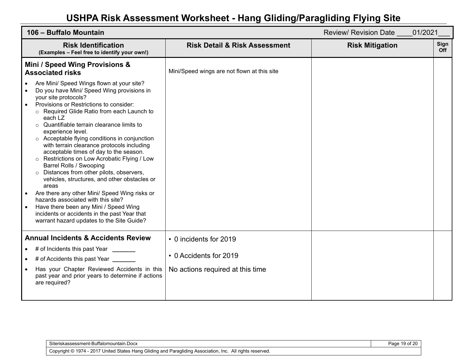| 106 - Buffalo Mountain                                                                                                                                                                                                                                                                                                                                                                                                                                                                                                                                                                                                                                                                                                                                                                                                                             |                                             | <b>Review/ Revision Date</b><br>01/2021 |             |
|----------------------------------------------------------------------------------------------------------------------------------------------------------------------------------------------------------------------------------------------------------------------------------------------------------------------------------------------------------------------------------------------------------------------------------------------------------------------------------------------------------------------------------------------------------------------------------------------------------------------------------------------------------------------------------------------------------------------------------------------------------------------------------------------------------------------------------------------------|---------------------------------------------|-----------------------------------------|-------------|
| <b>Risk Identification</b><br>(Examples - Feel free to identify your own!)                                                                                                                                                                                                                                                                                                                                                                                                                                                                                                                                                                                                                                                                                                                                                                         | <b>Risk Detail &amp; Risk Assessment</b>    | <b>Risk Mitigation</b>                  | Sign<br>Off |
| Mini / Speed Wing Provisions &<br><b>Associated risks</b>                                                                                                                                                                                                                                                                                                                                                                                                                                                                                                                                                                                                                                                                                                                                                                                          | Mini/Speed wings are not flown at this site |                                         |             |
| Are Mini/ Speed Wings flown at your site?<br>Do you have Mini/ Speed Wing provisions in<br>$\bullet$<br>your site protocols?<br>Provisions or Restrictions to consider:<br>Required Glide Ratio from each Launch to<br>each LZ<br>Quantifiable terrain clearance limits to<br>experience level.<br>○ Acceptable flying conditions in conjunction<br>with terrain clearance protocols including<br>acceptable times of day to the season.<br>Restrictions on Low Acrobatic Flying / Low<br>Barrel Rolls / Swooping<br>Distances from other pilots, observers,<br>vehicles, structures, and other obstacles or<br>areas<br>Are there any other Mini/ Speed Wing risks or<br>hazards associated with this site?<br>Have there been any Mini / Speed Wing<br>incidents or accidents in the past Year that<br>warrant hazard updates to the Site Guide? |                                             |                                         |             |
| <b>Annual Incidents &amp; Accidents Review</b>                                                                                                                                                                                                                                                                                                                                                                                                                                                                                                                                                                                                                                                                                                                                                                                                     | • 0 incidents for 2019                      |                                         |             |
| # of Incidents this past Year ______                                                                                                                                                                                                                                                                                                                                                                                                                                                                                                                                                                                                                                                                                                                                                                                                               | • 0 Accidents for 2019                      |                                         |             |
| # of Accidents this past Year _                                                                                                                                                                                                                                                                                                                                                                                                                                                                                                                                                                                                                                                                                                                                                                                                                    |                                             |                                         |             |
| Has your Chapter Reviewed Accidents in this<br>past year and prior years to determine if actions<br>are required?                                                                                                                                                                                                                                                                                                                                                                                                                                                                                                                                                                                                                                                                                                                                  | No actions required at this time            |                                         |             |